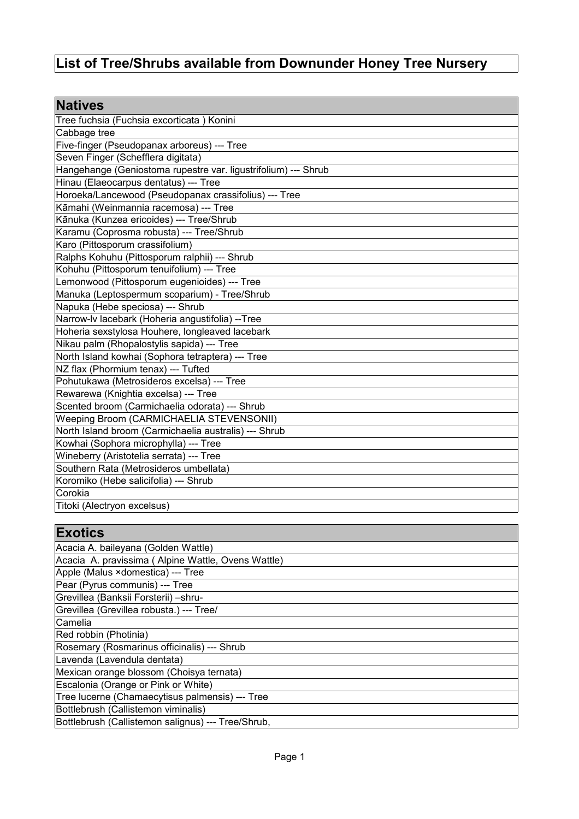## **List of Tree/Shrubs available from Downunder Honey Tree Nursery**

| <b>Natives</b>                                                 |
|----------------------------------------------------------------|
| Tree fuchsia (Fuchsia excorticata) Konini                      |
| Cabbage tree                                                   |
| Five-finger (Pseudopanax arboreus) --- Tree                    |
| Seven Finger (Schefflera digitata)                             |
| Hangehange (Geniostoma rupestre var. ligustrifolium) --- Shrub |
| Hinau (Elaeocarpus dentatus) --- Tree                          |
| Horoeka/Lancewood (Pseudopanax crassifolius) --- Tree          |
| Kāmahi (Weinmannia racemosa) --- Tree                          |
| Kānuka (Kunzea ericoides) --- Tree/Shrub                       |
| Karamu (Coprosma robusta) --- Tree/Shrub                       |
| Karo (Pittosporum crassifolium)                                |
| Ralphs Kohuhu (Pittosporum ralphii) --- Shrub                  |
| Kohuhu (Pittosporum tenuifolium) --- Tree                      |
| Lemonwood (Pittosporum eugenioides) --- Tree                   |
| Manuka (Leptospermum scoparium) - Tree/Shrub                   |
| Napuka (Hebe speciosa) --- Shrub                               |
| Narrow-lv lacebark (Hoheria angustifolia) --Tree               |
| Hoheria sexstylosa Houhere, longleaved lacebark                |
| Nikau palm (Rhopalostylis sapida) --- Tree                     |
| North Island kowhai (Sophora tetraptera) --- Tree              |
| NZ flax (Phormium tenax) --- Tufted                            |
| Pohutukawa (Metrosideros excelsa) --- Tree                     |
| Rewarewa (Knightia excelsa) --- Tree                           |
| Scented broom (Carmichaelia odorata) --- Shrub                 |
| Weeping Broom (CARMICHAELIA STEVENSONII)                       |
| North Island broom (Carmichaelia australis) --- Shrub          |
| Kowhai (Sophora microphylla) --- Tree                          |
| Wineberry (Aristotelia serrata) --- Tree                       |
| Southern Rata (Metrosideros umbellata)                         |
| Koromiko (Hebe salicifolia) --- Shrub                          |
| Corokia                                                        |
| Titoki (Alectryon excelsus)                                    |

## **Exotics**

| Acacia A. baileyana (Golden Wattle)                |
|----------------------------------------------------|
| Acacia A. pravissima (Alpine Wattle, Ovens Wattle) |
| Apple (Malus × domestica) --- Tree                 |
| Pear (Pyrus communis) --- Tree                     |
| Grevillea (Banksii Forsterii) - shru-              |
| Grevillea (Grevillea robusta.) --- Tree/           |
| Camelia                                            |
| Red robbin (Photinia)                              |
| Rosemary (Rosmarinus officinalis) --- Shrub        |
| Lavenda (Lavendula dentata)                        |
| Mexican orange blossom (Choisya ternata)           |
| Escalonia (Orange or Pink or White)                |
| Tree lucerne (Chamaecytisus palmensis) --- Tree    |
| Bottlebrush (Callistemon viminalis)                |
| Bottlebrush (Callistemon salignus) --- Tree/Shrub, |